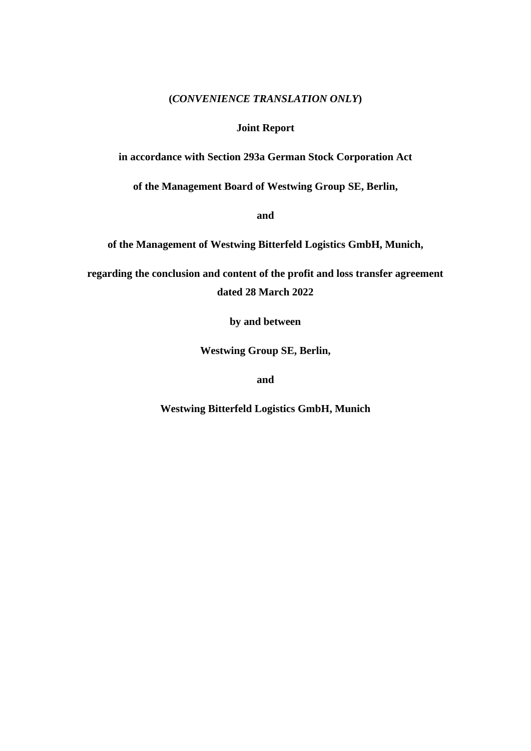### **(***CONVENIENCE TRANSLATION ONLY***)**

## **Joint Report**

**in accordance with Section 293a German Stock Corporation Act**

**of the Management Board of Westwing Group SE, Berlin,**

**and**

**of the Management of Westwing Bitterfeld Logistics GmbH, Munich,**

**regarding the conclusion and content of the profit and loss transfer agreement dated 28 March 2022**

**by and between**

**Westwing Group SE, Berlin,**

**and**

**Westwing Bitterfeld Logistics GmbH, Munich**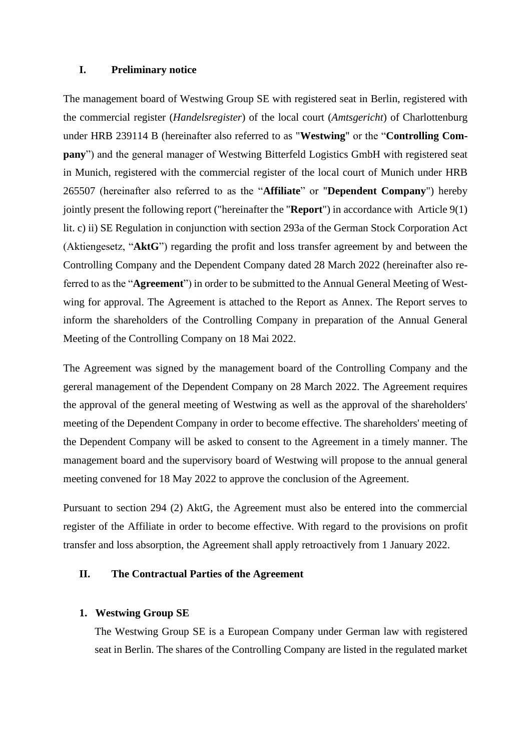# **I. Preliminary notice**

The management board of Westwing Group SE with registered seat in Berlin, registered with the commercial register (*Handelsregister*) of the local court (*Amtsgericht*) of Charlottenburg under HRB 239114 B (hereinafter also referred to as "**Westwing**" or the "**Controlling Company**") and the general manager of Westwing Bitterfeld Logistics GmbH with registered seat in Munich, registered with the commercial register of the local court of Munich under HRB 265507 (hereinafter also referred to as the "**Affiliate**" or "**Dependent Company**") hereby jointly present the following report ("hereinafter the "**Report**") in accordance with Article 9(1) lit. c) ii) SE Regulation in conjunction with section 293a of the German Stock Corporation Act (Aktiengesetz, "**AktG**") regarding the profit and loss transfer agreement by and between the Controlling Company and the Dependent Company dated 28 March 2022 (hereinafter also referred to as the "**Agreement**") in order to be submitted to the Annual General Meeting of Westwing for approval. The Agreement is attached to the Report as Annex. The Report serves to inform the shareholders of the Controlling Company in preparation of the Annual General Meeting of the Controlling Company on 18 Mai 2022.

The Agreement was signed by the management board of the Controlling Company and the gereral management of the Dependent Company on 28 March 2022. The Agreement requires the approval of the general meeting of Westwing as well as the approval of the shareholders' meeting of the Dependent Company in order to become effective. The shareholders' meeting of the Dependent Company will be asked to consent to the Agreement in a timely manner. The management board and the supervisory board of Westwing will propose to the annual general meeting convened for 18 May 2022 to approve the conclusion of the Agreement.

Pursuant to section 294 (2) AktG, the Agreement must also be entered into the commercial register of the Affiliate in order to become effective. With regard to the provisions on profit transfer and loss absorption, the Agreement shall apply retroactively from 1 January 2022.

# **II. The Contractual Parties of the Agreement**

# **1. Westwing Group SE**

The Westwing Group SE is a European Company under German law with registered seat in Berlin. The shares of the Controlling Company are listed in the regulated market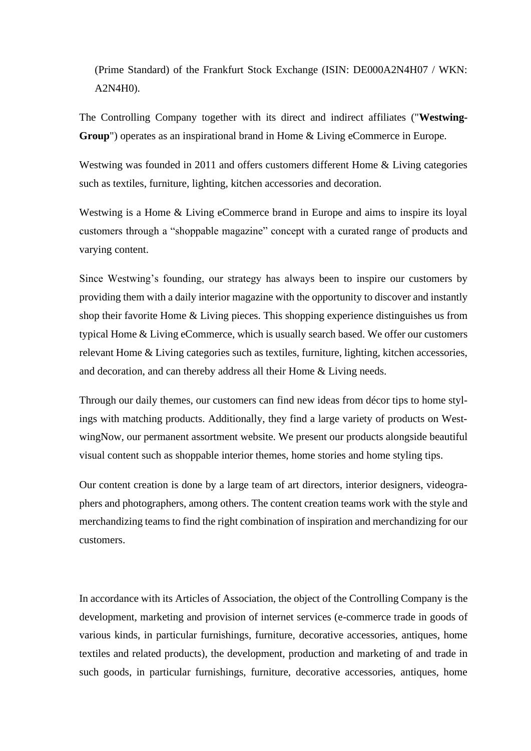(Prime Standard) of the Frankfurt Stock Exchange (ISIN: DE000A2N4H07 / WKN: A2N4H0).

The Controlling Company together with its direct and indirect affiliates ("**Westwing-Group**") operates as an inspirational brand in Home & Living eCommerce in Europe.

Westwing was founded in 2011 and offers customers different Home & Living categories such as textiles, furniture, lighting, kitchen accessories and decoration.

Westwing is a Home & Living eCommerce brand in Europe and aims to inspire its loyal customers through a "shoppable magazine" concept with a curated range of products and varying content.

Since Westwing's founding, our strategy has always been to inspire our customers by providing them with a daily interior magazine with the opportunity to discover and instantly shop their favorite Home & Living pieces. This shopping experience distinguishes us from typical Home & Living eCommerce, which is usually search based. We offer our customers relevant Home & Living categories such as textiles, furniture, lighting, kitchen accessories, and decoration, and can thereby address all their Home & Living needs.

Through our daily themes, our customers can find new ideas from décor tips to home stylings with matching products. Additionally, they find a large variety of products on WestwingNow, our permanent assortment website. We present our products alongside beautiful visual content such as shoppable interior themes, home stories and home styling tips.

Our content creation is done by a large team of art directors, interior designers, videographers and photographers, among others. The content creation teams work with the style and merchandizing teams to find the right combination of inspiration and merchandizing for our customers.

In accordance with its Articles of Association, the object of the Controlling Company is the development, marketing and provision of internet services (e-commerce trade in goods of various kinds, in particular furnishings, furniture, decorative accessories, antiques, home textiles and related products), the development, production and marketing of and trade in such goods, in particular furnishings, furniture, decorative accessories, antiques, home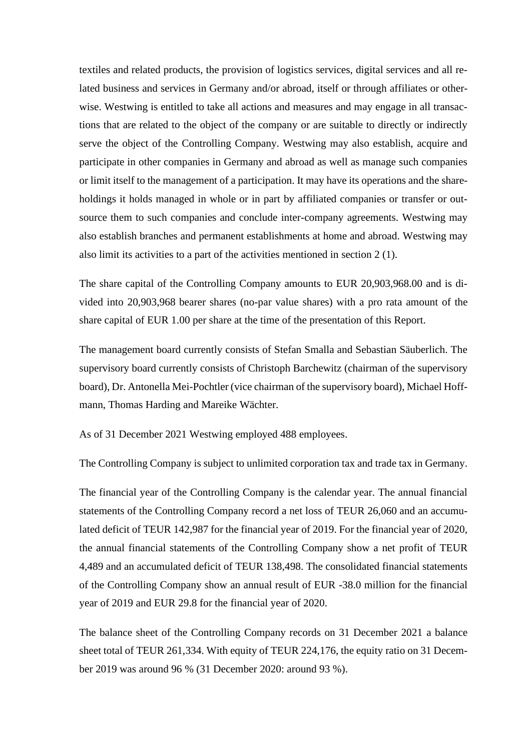textiles and related products, the provision of logistics services, digital services and all related business and services in Germany and/or abroad, itself or through affiliates or otherwise. Westwing is entitled to take all actions and measures and may engage in all transactions that are related to the object of the company or are suitable to directly or indirectly serve the object of the Controlling Company. Westwing may also establish, acquire and participate in other companies in Germany and abroad as well as manage such companies or limit itself to the management of a participation. It may have its operations and the shareholdings it holds managed in whole or in part by affiliated companies or transfer or outsource them to such companies and conclude inter-company agreements. Westwing may also establish branches and permanent establishments at home and abroad. Westwing may also limit its activities to a part of the activities mentioned in section 2 (1).

The share capital of the Controlling Company amounts to EUR 20,903,968.00 and is divided into 20,903,968 bearer shares (no-par value shares) with a pro rata amount of the share capital of EUR 1.00 per share at the time of the presentation of this Report.

The management board currently consists of Stefan Smalla and Sebastian Säuberlich. The supervisory board currently consists of Christoph Barchewitz (chairman of the supervisory board), Dr. Antonella Mei-Pochtler (vice chairman of the supervisory board), Michael Hoffmann, Thomas Harding and Mareike Wächter.

As of 31 December 2021 Westwing employed 488 employees.

The Controlling Company is subject to unlimited corporation tax and trade tax in Germany.

The financial year of the Controlling Company is the calendar year. The annual financial statements of the Controlling Company record a net loss of TEUR 26,060 and an accumulated deficit of TEUR 142,987 for the financial year of 2019. For the financial year of 2020, the annual financial statements of the Controlling Company show a net profit of TEUR 4,489 and an accumulated deficit of TEUR 138,498. The consolidated financial statements of the Controlling Company show an annual result of EUR -38.0 million for the financial year of 2019 and EUR 29.8 for the financial year of 2020.

The balance sheet of the Controlling Company records on 31 December 2021 a balance sheet total of TEUR 261,334. With equity of TEUR 224,176, the equity ratio on 31 December 2019 was around 96 % (31 December 2020: around 93 %).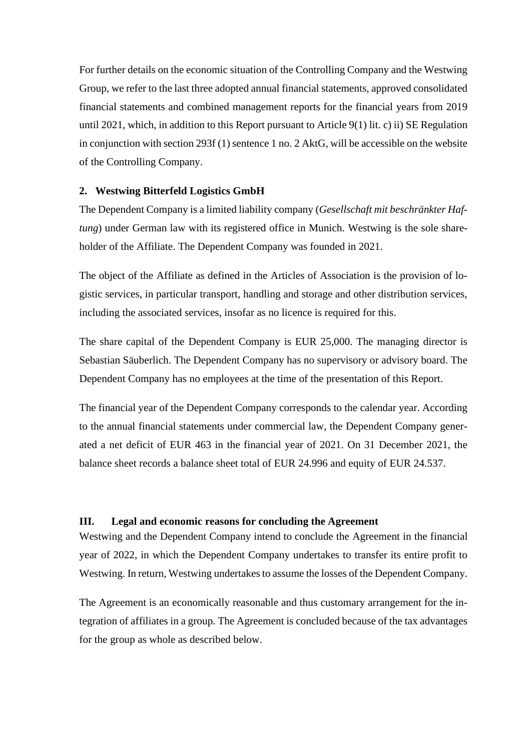For further details on the economic situation of the Controlling Company and the Westwing Group, we refer to the last three adopted annual financial statements, approved consolidated financial statements and combined management reports for the financial years from 2019 until 2021, which, in addition to this Report pursuant to Article  $9(1)$  lit. c) ii) SE Regulation in conjunction with section 293f (1) sentence 1 no. 2 AktG, will be accessible on the website of the Controlling Company.

# **2. Westwing Bitterfeld Logistics GmbH**

The Dependent Company is a limited liability company (*Gesellschaft mit beschränkter Haftung*) under German law with its registered office in Munich. Westwing is the sole shareholder of the Affiliate. The Dependent Company was founded in 2021.

The object of the Affiliate as defined in the Articles of Association is the provision of logistic services, in particular transport, handling and storage and other distribution services, including the associated services, insofar as no licence is required for this.

The share capital of the Dependent Company is EUR 25,000. The managing director is Sebastian Säuberlich. The Dependent Company has no supervisory or advisory board. The Dependent Company has no employees at the time of the presentation of this Report.

The financial year of the Dependent Company corresponds to the calendar year. According to the annual financial statements under commercial law, the Dependent Company generated a net deficit of EUR 463 in the financial year of 2021. On 31 December 2021, the balance sheet records a balance sheet total of EUR 24.996 and equity of EUR 24.537.

# **III. Legal and economic reasons for concluding the Agreement**

Westwing and the Dependent Company intend to conclude the Agreement in the financial year of 2022, in which the Dependent Company undertakes to transfer its entire profit to Westwing. In return, Westwing undertakes to assume the losses of the Dependent Company.

The Agreement is an economically reasonable and thus customary arrangement for the integration of affiliates in a group. The Agreement is concluded because of the tax advantages for the group as whole as described below.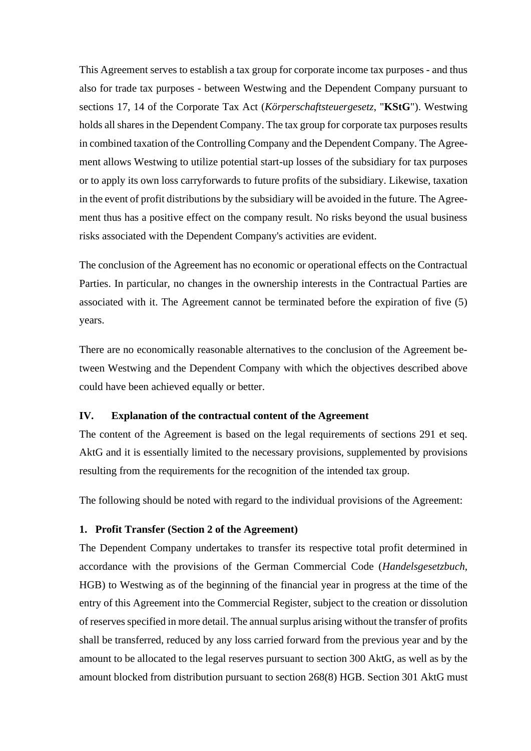This Agreement serves to establish a tax group for corporate income tax purposes - and thus also for trade tax purposes - between Westwing and the Dependent Company pursuant to sections 17, 14 of the Corporate Tax Act (*Körperschaftsteuergesetz*, "**KStG**"). Westwing holds all shares in the Dependent Company. The tax group for corporate tax purposes results in combined taxation of the Controlling Company and the Dependent Company. The Agreement allows Westwing to utilize potential start-up losses of the subsidiary for tax purposes or to apply its own loss carryforwards to future profits of the subsidiary. Likewise, taxation in the event of profit distributions by the subsidiary will be avoided in the future. The Agreement thus has a positive effect on the company result. No risks beyond the usual business risks associated with the Dependent Company's activities are evident.

The conclusion of the Agreement has no economic or operational effects on the Contractual Parties. In particular, no changes in the ownership interests in the Contractual Parties are associated with it. The Agreement cannot be terminated before the expiration of five (5) years.

There are no economically reasonable alternatives to the conclusion of the Agreement between Westwing and the Dependent Company with which the objectives described above could have been achieved equally or better.

#### **IV. Explanation of the contractual content of the Agreement**

The content of the Agreement is based on the legal requirements of sections 291 et seq. AktG and it is essentially limited to the necessary provisions, supplemented by provisions resulting from the requirements for the recognition of the intended tax group.

The following should be noted with regard to the individual provisions of the Agreement:

#### **1. Profit Transfer (Section 2 of the Agreement)**

The Dependent Company undertakes to transfer its respective total profit determined in accordance with the provisions of the German Commercial Code (*Handelsgesetzbuch*, HGB) to Westwing as of the beginning of the financial year in progress at the time of the entry of this Agreement into the Commercial Register, subject to the creation or dissolution of reserves specified in more detail. The annual surplus arising without the transfer of profits shall be transferred, reduced by any loss carried forward from the previous year and by the amount to be allocated to the legal reserves pursuant to section 300 AktG, as well as by the amount blocked from distribution pursuant to section 268(8) HGB. Section 301 AktG must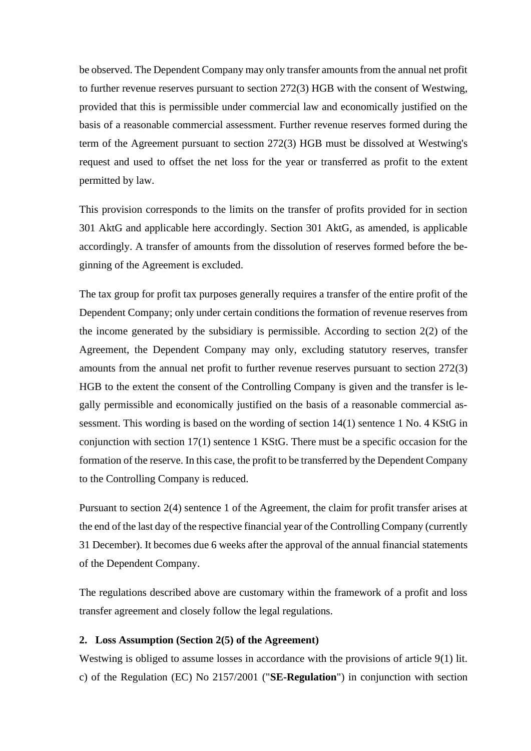be observed. The Dependent Company may only transfer amounts from the annual net profit to further revenue reserves pursuant to section 272(3) HGB with the consent of Westwing, provided that this is permissible under commercial law and economically justified on the basis of a reasonable commercial assessment. Further revenue reserves formed during the term of the Agreement pursuant to section 272(3) HGB must be dissolved at Westwing's request and used to offset the net loss for the year or transferred as profit to the extent permitted by law.

This provision corresponds to the limits on the transfer of profits provided for in section 301 AktG and applicable here accordingly. Section 301 AktG, as amended, is applicable accordingly. A transfer of amounts from the dissolution of reserves formed before the beginning of the Agreement is excluded.

The tax group for profit tax purposes generally requires a transfer of the entire profit of the Dependent Company; only under certain conditions the formation of revenue reserves from the income generated by the subsidiary is permissible. According to section 2(2) of the Agreement, the Dependent Company may only, excluding statutory reserves, transfer amounts from the annual net profit to further revenue reserves pursuant to section 272(3) HGB to the extent the consent of the Controlling Company is given and the transfer is legally permissible and economically justified on the basis of a reasonable commercial assessment. This wording is based on the wording of section 14(1) sentence 1 No. 4 KStG in conjunction with section 17(1) sentence 1 KStG. There must be a specific occasion for the formation of the reserve. In this case, the profit to be transferred by the Dependent Company to the Controlling Company is reduced.

Pursuant to section 2(4) sentence 1 of the Agreement, the claim for profit transfer arises at the end of the last day of the respective financial year of the Controlling Company (currently 31 December). It becomes due 6 weeks after the approval of the annual financial statements of the Dependent Company.

The regulations described above are customary within the framework of a profit and loss transfer agreement and closely follow the legal regulations.

### **2. Loss Assumption (Section 2(5) of the Agreement)**

Westwing is obliged to assume losses in accordance with the provisions of article 9(1) lit. c) of the Regulation (EC) No 2157/2001 ("**SE-Regulation**") in conjunction with section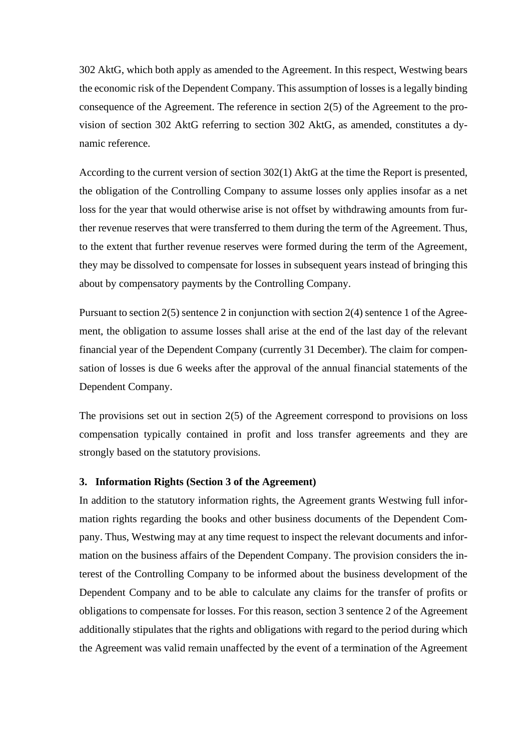302 AktG, which both apply as amended to the Agreement. In this respect, Westwing bears the economic risk of the Dependent Company. This assumption of losses is a legally binding consequence of the Agreement. The reference in section 2(5) of the Agreement to the provision of section 302 AktG referring to section 302 AktG, as amended, constitutes a dynamic reference.

According to the current version of section 302(1) AktG at the time the Report is presented, the obligation of the Controlling Company to assume losses only applies insofar as a net loss for the year that would otherwise arise is not offset by withdrawing amounts from further revenue reserves that were transferred to them during the term of the Agreement. Thus, to the extent that further revenue reserves were formed during the term of the Agreement, they may be dissolved to compensate for losses in subsequent years instead of bringing this about by compensatory payments by the Controlling Company.

Pursuant to section 2(5) sentence 2 in conjunction with section 2(4) sentence 1 of the Agreement, the obligation to assume losses shall arise at the end of the last day of the relevant financial year of the Dependent Company (currently 31 December). The claim for compensation of losses is due 6 weeks after the approval of the annual financial statements of the Dependent Company.

The provisions set out in section 2(5) of the Agreement correspond to provisions on loss compensation typically contained in profit and loss transfer agreements and they are strongly based on the statutory provisions.

#### **3. Information Rights (Section 3 of the Agreement)**

In addition to the statutory information rights, the Agreement grants Westwing full information rights regarding the books and other business documents of the Dependent Company. Thus, Westwing may at any time request to inspect the relevant documents and information on the business affairs of the Dependent Company. The provision considers the interest of the Controlling Company to be informed about the business development of the Dependent Company and to be able to calculate any claims for the transfer of profits or obligations to compensate for losses. For this reason, section 3 sentence 2 of the Agreement additionally stipulates that the rights and obligations with regard to the period during which the Agreement was valid remain unaffected by the event of a termination of the Agreement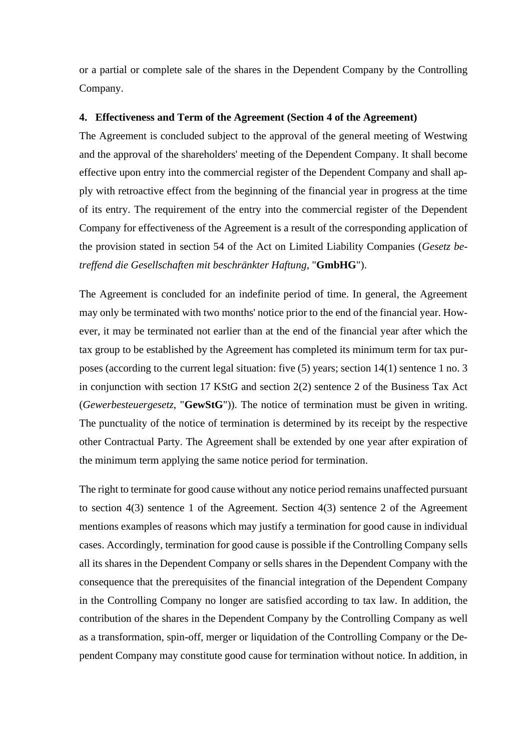or a partial or complete sale of the shares in the Dependent Company by the Controlling Company.

#### **4. Effectiveness and Term of the Agreement (Section 4 of the Agreement)**

The Agreement is concluded subject to the approval of the general meeting of Westwing and the approval of the shareholders' meeting of the Dependent Company. It shall become effective upon entry into the commercial register of the Dependent Company and shall apply with retroactive effect from the beginning of the financial year in progress at the time of its entry. The requirement of the entry into the commercial register of the Dependent Company for effectiveness of the Agreement is a result of the corresponding application of the provision stated in section 54 of the Act on Limited Liability Companies (*Gesetz betreffend die Gesellschaften mit beschränkter Haftung*, "**GmbHG**").

The Agreement is concluded for an indefinite period of time. In general, the Agreement may only be terminated with two months' notice prior to the end of the financial year. However, it may be terminated not earlier than at the end of the financial year after which the tax group to be established by the Agreement has completed its minimum term for tax purposes (according to the current legal situation: five (5) years; section 14(1) sentence 1 no. 3 in conjunction with section 17 KStG and section 2(2) sentence 2 of the Business Tax Act (*Gewerbesteuergesetz*, "**GewStG**")). The notice of termination must be given in writing. The punctuality of the notice of termination is determined by its receipt by the respective other Contractual Party. The Agreement shall be extended by one year after expiration of the minimum term applying the same notice period for termination.

The right to terminate for good cause without any notice period remains unaffected pursuant to section 4(3) sentence 1 of the Agreement. Section 4(3) sentence 2 of the Agreement mentions examples of reasons which may justify a termination for good cause in individual cases. Accordingly, termination for good cause is possible if the Controlling Company sells all its shares in the Dependent Company or sells shares in the Dependent Company with the consequence that the prerequisites of the financial integration of the Dependent Company in the Controlling Company no longer are satisfied according to tax law. In addition, the contribution of the shares in the Dependent Company by the Controlling Company as well as a transformation, spin-off, merger or liquidation of the Controlling Company or the Dependent Company may constitute good cause for termination without notice. In addition, in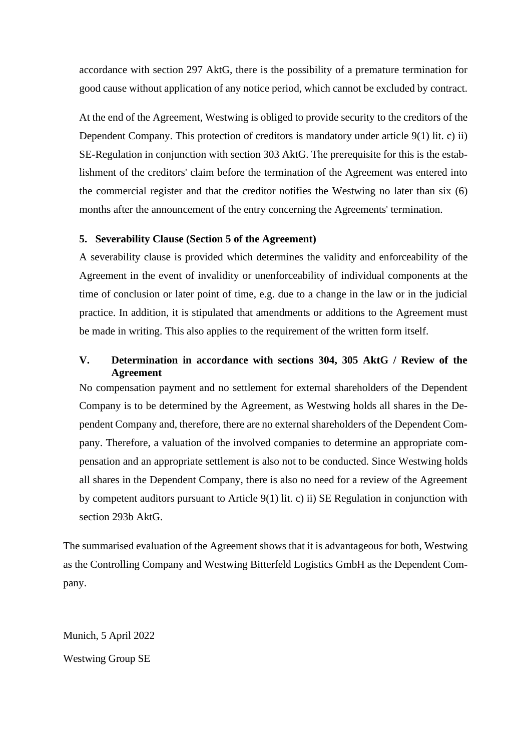accordance with section 297 AktG, there is the possibility of a premature termination for good cause without application of any notice period, which cannot be excluded by contract.

At the end of the Agreement, Westwing is obliged to provide security to the creditors of the Dependent Company. This protection of creditors is mandatory under article 9(1) lit. c) ii) SE-Regulation in conjunction with section 303 AktG. The prerequisite for this is the establishment of the creditors' claim before the termination of the Agreement was entered into the commercial register and that the creditor notifies the Westwing no later than six (6) months after the announcement of the entry concerning the Agreements' termination.

# **5. Severability Clause (Section 5 of the Agreement)**

A severability clause is provided which determines the validity and enforceability of the Agreement in the event of invalidity or unenforceability of individual components at the time of conclusion or later point of time, e.g. due to a change in the law or in the judicial practice. In addition, it is stipulated that amendments or additions to the Agreement must be made in writing. This also applies to the requirement of the written form itself.

# **V. Determination in accordance with sections 304, 305 AktG / Review of the Agreement**

No compensation payment and no settlement for external shareholders of the Dependent Company is to be determined by the Agreement, as Westwing holds all shares in the Dependent Company and, therefore, there are no external shareholders of the Dependent Company. Therefore, a valuation of the involved companies to determine an appropriate compensation and an appropriate settlement is also not to be conducted. Since Westwing holds all shares in the Dependent Company, there is also no need for a review of the Agreement by competent auditors pursuant to Article 9(1) lit. c) ii) SE Regulation in conjunction with section 293b AktG.

The summarised evaluation of the Agreement shows that it is advantageous for both, Westwing as the Controlling Company and Westwing Bitterfeld Logistics GmbH as the Dependent Company.

Munich, 5 April 2022 Westwing Group SE